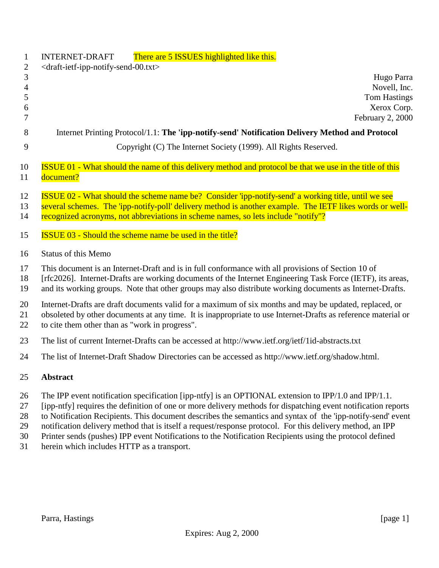| $\mathbf{1}$                                       | There are 5 ISSUES highlighted like this.<br><b>INTERNET-DRAFT</b>                                                                                                                                                                                                                                                                                                                                                                                                                                                                                                                                     |
|----------------------------------------------------|--------------------------------------------------------------------------------------------------------------------------------------------------------------------------------------------------------------------------------------------------------------------------------------------------------------------------------------------------------------------------------------------------------------------------------------------------------------------------------------------------------------------------------------------------------------------------------------------------------|
| $\mathbf{2}$<br>3<br>$\overline{4}$<br>5<br>6<br>7 | <draft-ietf-ipp-notify-send-00.txt><br/>Hugo Parra<br/>Novell, Inc.<br/><b>Tom Hastings</b><br/>Xerox Corp.<br/>February 2, 2000</draft-ietf-ipp-notify-send-00.txt>                                                                                                                                                                                                                                                                                                                                                                                                                                   |
| 8                                                  | Internet Printing Protocol/1.1: The 'ipp-notify-send' Notification Delivery Method and Protocol                                                                                                                                                                                                                                                                                                                                                                                                                                                                                                        |
| 9                                                  | Copyright (C) The Internet Society (1999). All Rights Reserved.                                                                                                                                                                                                                                                                                                                                                                                                                                                                                                                                        |
| 10<br>11                                           | <b>ISSUE 01 - What should the name of this delivery method and protocol be that we use in the title of this</b><br>document?                                                                                                                                                                                                                                                                                                                                                                                                                                                                           |
| 12<br>13<br>14                                     | <b>ISSUE 02 - What should the scheme name be? Consider 'ipp-notify-send' a working title, until we see</b><br>several schemes. The 'ipp-notify-poll' delivery method is another example. The IETF likes words or well-<br>recognized acronyms, not abbreviations in scheme names, so lets include "notify"?                                                                                                                                                                                                                                                                                            |
| 15                                                 | <b>ISSUE 03 - Should the scheme name be used in the title?</b>                                                                                                                                                                                                                                                                                                                                                                                                                                                                                                                                         |
| 16                                                 | <b>Status of this Memo</b>                                                                                                                                                                                                                                                                                                                                                                                                                                                                                                                                                                             |
| 17<br>18<br>19                                     | This document is an Internet-Draft and is in full conformance with all provisions of Section 10 of<br>[rfc2026]. Internet-Drafts are working documents of the Internet Engineering Task Force (IETF), its areas,<br>and its working groups. Note that other groups may also distribute working documents as Internet-Drafts.                                                                                                                                                                                                                                                                           |
| 20<br>21<br>22                                     | Internet-Drafts are draft documents valid for a maximum of six months and may be updated, replaced, or<br>obsoleted by other documents at any time. It is inappropriate to use Internet-Drafts as reference material or<br>to cite them other than as "work in progress".                                                                                                                                                                                                                                                                                                                              |
| 23                                                 | The list of current Internet-Drafts can be accessed at http://www.ietf.org/ietf/1id-abstracts.txt                                                                                                                                                                                                                                                                                                                                                                                                                                                                                                      |
| 24                                                 | The list of Internet-Draft Shadow Directories can be accessed as http://www.ietf.org/shadow.html.                                                                                                                                                                                                                                                                                                                                                                                                                                                                                                      |
| 25                                                 | <b>Abstract</b>                                                                                                                                                                                                                                                                                                                                                                                                                                                                                                                                                                                        |
| 26<br>27<br>28<br>$\mathbf{a}$                     | The IPP event notification specification [ipp-ntfy] is an OPTIONAL extension to IPP/1.0 and IPP/1.1.<br>[ipp-ntfy] requires the definition of one or more delivery methods for dispatching event notification reports<br>to Notification Recipients. This document describes the semantics and syntax of the 'ipp-notify-send' event<br>$\mathcal{A}(\mathcal{C})$ and $\mathcal{A}(\mathcal{C})$ and $\mathcal{A}(\mathcal{C})$ and $\mathcal{A}(\mathcal{C})$ are constructed as a set of $\mathcal{D}(\mathcal{C})$ . The distribution of $\mathcal{A}(\mathcal{C})$ and $\mathcal{A}(\mathcal{C})$ |

- 29 notification delivery method that is itself a request/response protocol. For this delivery method, an IPP 30 Printer sends (pushes) IPP event Notifications to the Notification Recipients using the protocol defined
- Printer sends (pushes) IPP event Notifications to the Notification Recipients using the protocol defined
- herein which includes HTTP as a transport.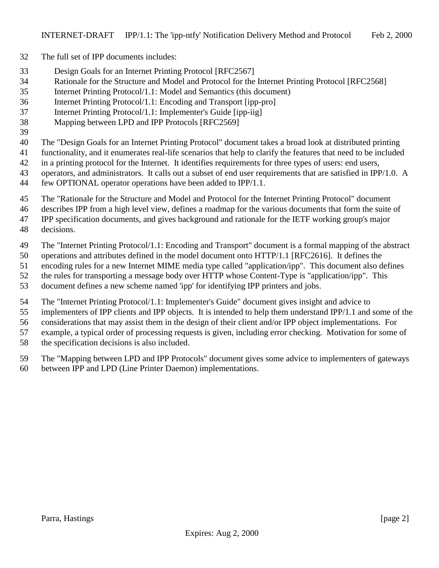- The full set of IPP documents includes:
- Design Goals for an Internet Printing Protocol [RFC2567]
- Rationale for the Structure and Model and Protocol for the Internet Printing Protocol [RFC2568]
- Internet Printing Protocol/1.1: Model and Semantics (this document)
- Internet Printing Protocol/1.1: Encoding and Transport [ipp-pro]
- Internet Printing Protocol/1.1: Implementer's Guide [ipp-iig]
- Mapping between LPD and IPP Protocols [RFC2569]
- 
- The "Design Goals for an Internet Printing Protocol" document takes a broad look at distributed printing
- functionality, and it enumerates real-life scenarios that help to clarify the features that need to be included
- in a printing protocol for the Internet. It identifies requirements for three types of users: end users,
- 43 operators, and administrators. It calls out a subset of end user requirements that are satisfied in IPP/1.0. A
- few OPTIONAL operator operations have been added to IPP/1.1.
- The "Rationale for the Structure and Model and Protocol for the Internet Printing Protocol" document
- describes IPP from a high level view, defines a roadmap for the various documents that form the suite of
- IPP specification documents, and gives background and rationale for the IETF working group's major
- decisions.
- The "Internet Printing Protocol/1.1: Encoding and Transport" document is a formal mapping of the abstract
- operations and attributes defined in the model document onto HTTP/1.1 [RFC2616]. It defines the
- encoding rules for a new Internet MIME media type called "application/ipp". This document also defines
- the rules for transporting a message body over HTTP whose Content-Type is "application/ipp". This
- document defines a new scheme named 'ipp' for identifying IPP printers and jobs.
- The "Internet Printing Protocol/1.1: Implementer's Guide" document gives insight and advice to
- implementers of IPP clients and IPP objects. It is intended to help them understand IPP/1.1 and some of the
- considerations that may assist them in the design of their client and/or IPP object implementations. For
- example, a typical order of processing requests is given, including error checking. Motivation for some of
- the specification decisions is also included.
- The "Mapping between LPD and IPP Protocols" document gives some advice to implementers of gateways
- between IPP and LPD (Line Printer Daemon) implementations.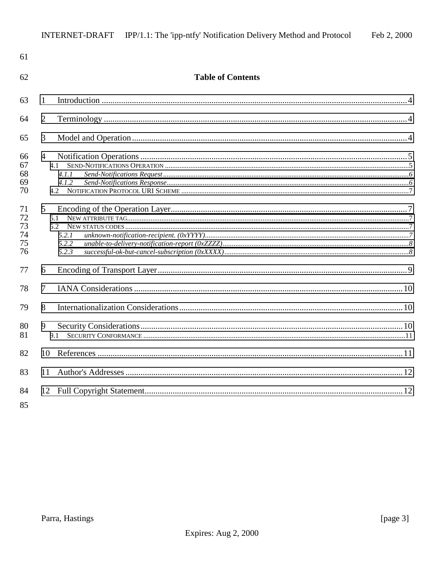| 61                               |                                         |  |
|----------------------------------|-----------------------------------------|--|
| 62                               | <b>Table of Contents</b>                |  |
| 63                               | 1                                       |  |
| 64                               | $\overline{2}$                          |  |
| 65                               | 3                                       |  |
| 66<br>67<br>68<br>69<br>70       | $\overline{4}$<br>4.1<br>4.1.1<br>4.1.2 |  |
| 71<br>72<br>73<br>74<br>75<br>76 | 5<br>5.1<br>5.2.1<br>5.2.2<br>5.2.3     |  |
| 77                               | 6                                       |  |
| 78                               | 7                                       |  |
| 79                               | 8                                       |  |
| 80<br>81                         | 9<br>9.1                                |  |
| 82                               | 10                                      |  |
| 83                               | 11                                      |  |
| 84                               |                                         |  |

85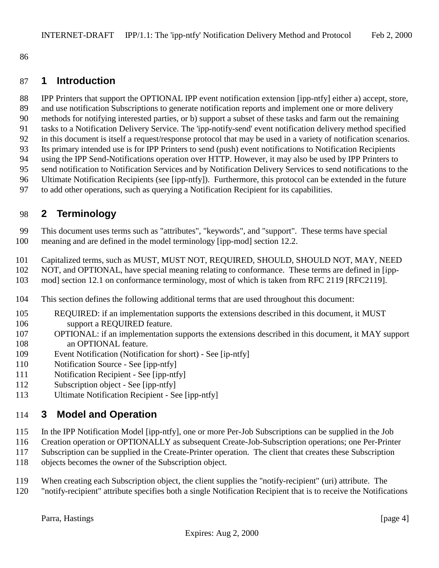<span id="page-3-0"></span>

### **1 Introduction**

 IPP Printers that support the OPTIONAL IPP event notification extension [ipp-ntfy] either a) accept, store, and use notification Subscriptions to generate notification reports and implement one or more delivery methods for notifying interested parties, or b) support a subset of these tasks and farm out the remaining tasks to a Notification Delivery Service. The 'ipp-notify-send' event notification delivery method specified in this document is itself a request/response protocol that may be used in a variety of notification scenarios. Its primary intended use is for IPP Printers to send (push) event notifications to Notification Recipients using the IPP Send-Notifications operation over HTTP. However, it may also be used by IPP Printers to send notification to Notification Services and by Notification Delivery Services to send notifications to the Ultimate Notification Recipients (see [ipp-ntfy]). Furthermore, this protocol can be extended in the future to add other operations, such as querying a Notification Recipient for its capabilities.

# **2 Terminology**

 This document uses terms such as "attributes", "keywords", and "support". These terms have special meaning and are defined in the model terminology [ipp-mod] section 12.2.

- Capitalized terms, such as MUST, MUST NOT, REQUIRED, SHOULD, SHOULD NOT, MAY, NEED
- NOT, and OPTIONAL, have special meaning relating to conformance. These terms are defined in [ipp-
- mod] section 12.1 on conformance terminology, most of which is taken from RFC 2119 [RFC2119].
- This section defines the following additional terms that are used throughout this document:
- REQUIRED: if an implementation supports the extensions described in this document, it MUST support a REQUIRED feature.
- OPTIONAL: if an implementation supports the extensions described in this document, it MAY support 108 an OPTIONAL feature.
- Event Notification (Notification for short) See [ip-ntfy]
- Notification Source See [ipp-ntfy]
- Notification Recipient See [ipp-ntfy]
- Subscription object See [ipp-ntfy]
- Ultimate Notification Recipient See [ipp-ntfy]

### **3 Model and Operation**

- In the IPP Notification Model [ipp-ntfy], one or more Per-Job Subscriptions can be supplied in the Job
- Creation operation or OPTIONALLY as subsequent Create-Job-Subscription operations; one Per-Printer
- Subscription can be supplied in the Create-Printer operation. The client that creates these Subscription objects becomes the owner of the Subscription object.
- When creating each Subscription object, the client supplies the "notify-recipient" (uri) attribute. The
- "notify-recipient" attribute specifies both a single Notification Recipient that is to receive the Notifications

Parra, Hastings [page 4]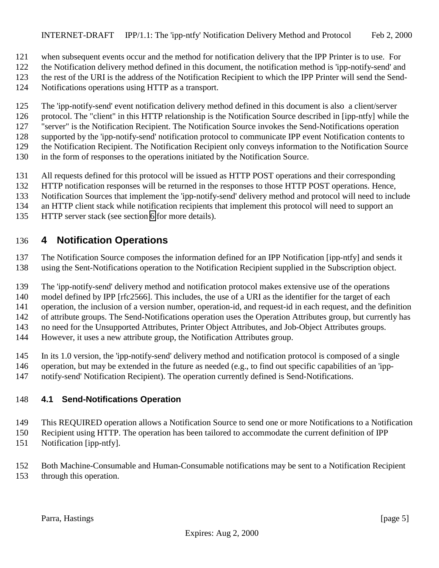- <span id="page-4-0"></span>when subsequent events occur and the method for notification delivery that the IPP Printer is to use. For
- the Notification delivery method defined in this document, the notification method is 'ipp-notify-send' and
- the rest of the URI is the address of the Notification Recipient to which the IPP Printer will send the Send-
- Notifications operations using HTTP as a transport.
- The 'ipp-notify-send' event notification delivery method defined in this document is also a client/server
- protocol. The "client" in this HTTP relationship is the Notification Source described in [ipp-ntfy] while the
- "server" is the Notification Recipient. The Notification Source invokes the Send-Notifications operation
- supported by the 'ipp-notify-send' notification protocol to communicate IPP event Notification contents to
- the Notification Recipient. The Notification Recipient only conveys information to the Notification Source
- in the form of responses to the operations initiated by the Notification Source.
- All requests defined for this protocol will be issued as HTTP POST operations and their corresponding
- HTTP notification responses will be returned in the responses to those HTTP POST operations. Hence,
- Notification Sources that implement the 'ipp-notify-send' delivery method and protocol will need to include
- an HTTP client stack while notification recipients that implement this protocol will need to support an
- HTTP server stack (see section [6](#page-8-0) for more details).

# **4 Notification Operations**

- The Notification Source composes the information defined for an IPP Notification [ipp-ntfy] and sends it
- using the Sent-Notifications operation to the Notification Recipient supplied in the Subscription object.
- The 'ipp-notify-send' delivery method and notification protocol makes extensive use of the operations
- model defined by IPP [rfc2566]. This includes, the use of a URI as the identifier for the target of each
- operation, the inclusion of a version number, operation-id, and request-id in each request, and the definition
- of attribute groups. The Send-Notifications operation uses the Operation Attributes group, but currently has no need for the Unsupported Attributes, Printer Object Attributes, and Job-Object Attributes groups.
- However, it uses a new attribute group, the Notification Attributes group.
- In its 1.0 version, the 'ipp-notify-send' delivery method and notification protocol is composed of a single
- operation, but may be extended in the future as needed (e.g., to find out specific capabilities of an 'ipp-
- notify-send' Notification Recipient). The operation currently defined is Send-Notifications.

# **4.1 Send-Notifications Operation**

- This REQUIRED operation allows a Notification Source to send one or more Notifications to a Notification
- Recipient using HTTP. The operation has been tailored to accommodate the current definition of IPP
- Notification [ipp-ntfy].
- Both Machine-Consumable and Human-Consumable notifications may be sent to a Notification Recipient through this operation.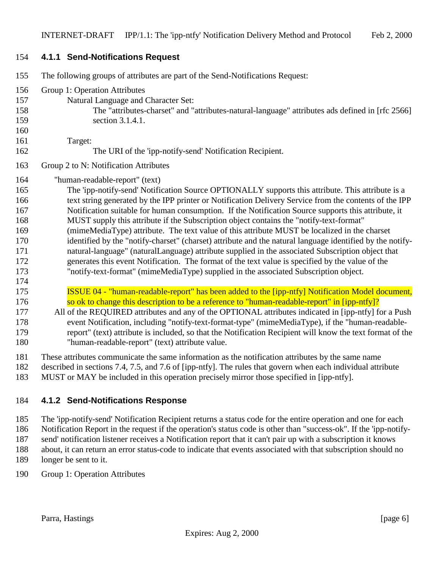#### <span id="page-5-0"></span>**4.1.1 Send-Notifications Request**

| 155 | The following groups of attributes are part of the Send-Notifications Request:                            |
|-----|-----------------------------------------------------------------------------------------------------------|
| 156 | Group 1: Operation Attributes                                                                             |
| 157 | Natural Language and Character Set:                                                                       |
| 158 | The "attributes-charset" and "attributes-natural-language" attributes ads defined in [rfc 2566]           |
| 159 | section 3.1.4.1.                                                                                          |
| 160 |                                                                                                           |
| 161 | Target:                                                                                                   |
| 162 | The URI of the 'ipp-notify-send' Notification Recipient.                                                  |
| 163 | Group 2 to N: Notification Attributes                                                                     |
| 164 | "human-readable-report" (text)                                                                            |
| 165 | The 'ipp-notify-send' Notification Source OPTIONALLY supports this attribute. This attribute is a         |
| 166 | text string generated by the IPP printer or Notification Delivery Service from the contents of the IPP    |
| 167 | Notification suitable for human consumption. If the Notification Source supports this attribute, it       |
| 168 | MUST supply this attribute if the Subscription object contains the "notify-text-format"                   |
| 169 | (mimeMediaType) attribute. The text value of this attribute MUST be localized in the charset              |
| 170 | identified by the "notify-charset" (charset) attribute and the natural language identified by the notify- |
| 171 | natural-language" (naturalLanguage) attribute supplied in the associated Subscription object that         |
| 172 | generates this event Notification. The format of the text value is specified by the value of the          |
| 173 | "notify-text-format" (mimeMediaType) supplied in the associated Subscription object.                      |
| 174 |                                                                                                           |
| 175 | ISSUE 04 - "human-readable-report" has been added to the [ipp-ntfy] Notification Model document,          |
| 176 | so ok to change this description to be a reference to "human-readable-report" in [ipp-ntfy]?              |
| 177 | All of the REQUIRED attributes and any of the OPTIONAL attributes indicated in [ipp-ntfy] for a Push      |
| 178 | event Notification, including "notify-text-format-type" (mimeMediaType), if the "human-readable-          |
| 179 | report" (text) attribute is included, so that the Notification Recipient will know the text format of the |
| 180 | "human-readable-report" (text) attribute value.                                                           |
| 181 | These attributes communicate the same information as the notification attributes by the same name         |

- described in sections 7.4, 7.5, and 7.6 of [ipp-ntfy]. The rules that govern when each individual attribute
- MUST or MAY be included in this operation precisely mirror those specified in [ipp-ntfy].

### **4.1.2 Send-Notifications Response**

 The 'ipp-notify-send' Notification Recipient returns a status code for the entire operation and one for each Notification Report in the request if the operation's status code is other than "success-ok". If the 'ipp-notify- send' notification listener receives a Notification report that it can't pair up with a subscription it knows about, it can return an error status-code to indicate that events associated with that subscription should no longer be sent to it.

Group 1: Operation Attributes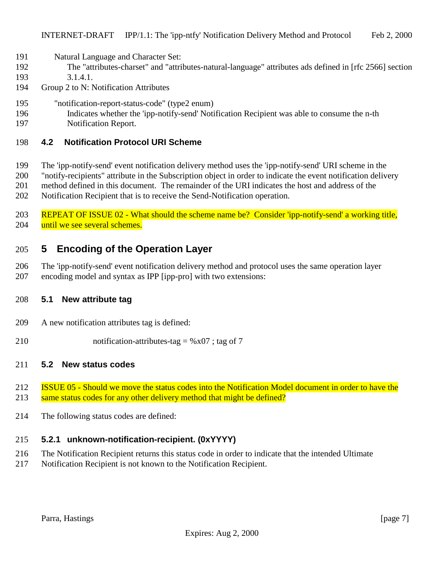- <span id="page-6-0"></span>Natural Language and Character Set:
- The "attributes-charset" and "attributes-natural-language" attributes ads defined in [rfc 2566] section
- 3.1.4.1.
- Group 2 to N: Notification Attributes
- "notification-report-status-code" (type2 enum)
- Indicates whether the 'ipp-notify-send' Notification Recipient was able to consume the n-th
- Notification Report.

### **4.2 Notification Protocol URI Scheme**

- The 'ipp-notify-send' event notification delivery method uses the 'ipp-notify-send' URI scheme in the
- "notify-recipients" attribute in the Subscription object in order to indicate the event notification delivery
- method defined in this document. The remainder of the URI indicates the host and address of the
- Notification Recipient that is to receive the Send-Notification operation.

 REPEAT OF ISSUE 02 - What should the scheme name be? Consider 'ipp-notify-send' a working title, 204 until we see several schemes.

# **5 Encoding of the Operation Layer**

 The 'ipp-notify-send' event notification delivery method and protocol uses the same operation layer encoding model and syntax as IPP [ipp-pro] with two extensions:

### **5.1 New attribute tag**

- A new notification attributes tag is defined:
- 210 notification-attributes-tag =  $%x07$ ; tag of 7

#### **5.2 New status codes**

- ISSUE 05 Should we move the status codes into the Notification Model document in order to have the
- 213 same status codes for any other delivery method that might be defined?
- The following status codes are defined:

### **5.2.1 unknown-notification-recipient. (0xYYYY)**

- The Notification Recipient returns this status code in order to indicate that the intended Ultimate
- Notification Recipient is not known to the Notification Recipient.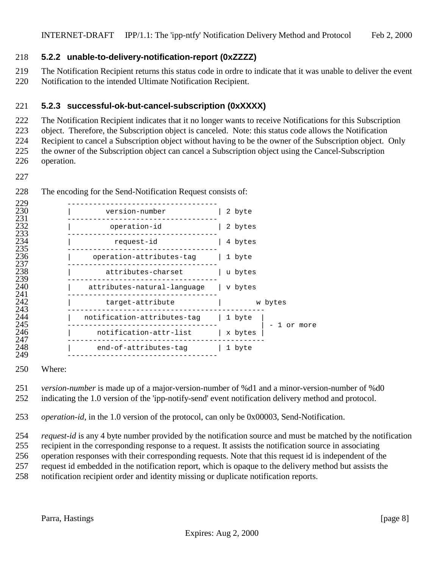#### <span id="page-7-0"></span>**5.2.2 unable-to-delivery-notification-report (0xZZZZ)**

 The Notification Recipient returns this status code in ordre to indicate that it was unable to deliver the event Notification to the intended Ultimate Notification Recipient.

#### **5.2.3 successful-ok-but-cancel-subscription (0xXXXX)**

The Notification Recipient indicates that it no longer wants to receive Notifications for this Subscription

object. Therefore, the Subscription object is canceled. Note: this status code allows the Notification

Recipient to cancel a Subscription object without having to be the owner of the Subscription object. Only

 the owner of the Subscription object can cancel a Subscription object using the Cancel-Subscription operation.

| version-number              | 2 byte                 |
|-----------------------------|------------------------|
| operation-id                | 2 bytes                |
| request-id                  | 4 bytes                |
| operation-attributes-tag    | 1 byte                 |
| attributes-charset          | u bytes                |
| attributes-natural-language | v bytes                |
| target-attribute            | w bytes                |
| notification-attributes-tag | 1 byte                 |
| notification-attr-list      | l or more<br>  x bytes |
| end-of-attributes-tag       | 1 byte                 |
|                             |                        |

The encoding for the Send-Notification Request consists of:

Where:

*version-number* is made up of a major-version-number of %d1 and a minor-version-number of %d0

indicating the 1.0 version of the 'ipp-notify-send' event notification delivery method and protocol.

*operation-id*, in the 1.0 version of the protocol, can only be 0x00003, Send-Notification.

 *request-id* is any 4 byte number provided by the notification source and must be matched by the notification recipient in the corresponding response to a request. It assists the notification source in associating operation responses with their corresponding requests. Note that this request id is independent of the request id embedded in the notification report, which is opaque to the delivery method but assists the notification recipient order and identity missing or duplicate notification reports.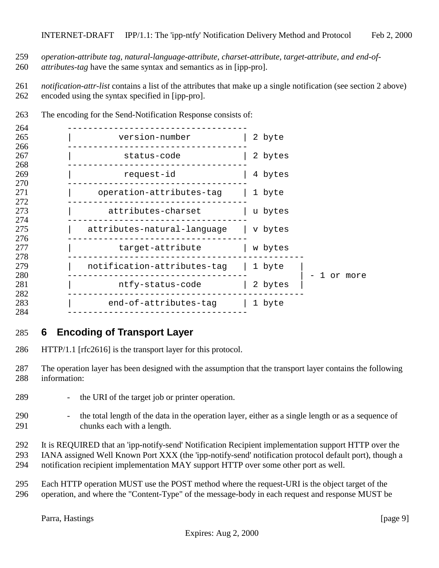- <span id="page-8-0"></span>*operation-attribute tag, natural-language-attribute, charset-attribute, target-attribute, and end-of-*
- *attributes-tag* have the same syntax and semantics as in [ipp-pro].

 *notification-attr-list* contains a list of the attributes that make up a single notification (see section 2 above) encoded using the syntax specified in [ipp-pro].

| 264               |                             |                   |
|-------------------|-----------------------------|-------------------|
| 265               | version-number              | 2 byte            |
| 266<br>267<br>268 | status-code                 | 2 bytes           |
| 269<br>270        | request-id                  | 4 bytes           |
| 271<br>272        | operation-attributes-tag    | 1 byte            |
| 273<br>274        | attributes-charset          | u bytes           |
| 275<br>276        | attributes-natural-language | v bytes           |
| 277<br>278        | target-attribute            | w bytes           |
| 279<br>280        | notification-attributes-tag | 1 byte<br>or more |
| 281<br>282        | ntfy-status-code            | 2 bytes           |
| 283<br>284        | end-of-attributes-tag       | 1 byte            |

The encoding for the Send-Notification Response consists of:

### **6 Encoding of Transport Layer**

- HTTP/1.1 [rfc2616] is the transport layer for this protocol.
- The operation layer has been designed with the assumption that the transport layer contains the following information:
- the URI of the target job or printer operation.
- the total length of the data in the operation layer, either as a single length or as a sequence of chunks each with a length.
- It is REQUIRED that an 'ipp-notify-send' Notification Recipient implementation support HTTP over the IANA assigned Well Known Port XXX (the 'ipp-notify-send' notification protocol default port), though a notification recipient implementation MAY support HTTP over some other port as well.
- Each HTTP operation MUST use the POST method where the request-URI is the object target of the operation, and where the "Content-Type" of the message-body in each request and response MUST be

Parra, Hastings [page 9]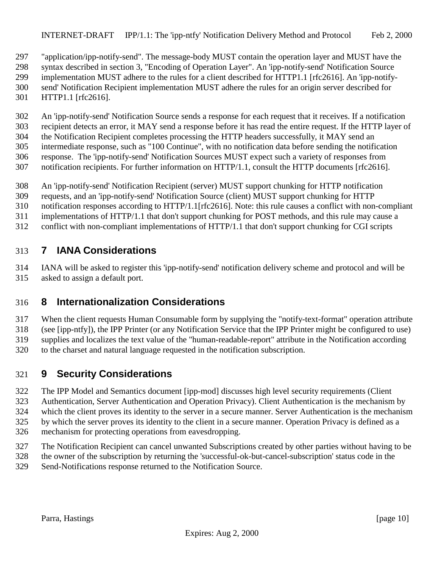<span id="page-9-0"></span> "application/ipp-notify-send". The message-body MUST contain the operation layer and MUST have the syntax described in section 3, "Encoding of Operation Layer". An 'ipp-notify-send' Notification Source implementation MUST adhere to the rules for a client described for HTTP1.1 [rfc2616]. An 'ipp-notify- send' Notification Recipient implementation MUST adhere the rules for an origin server described for HTTP1.1 [rfc2616].

 An 'ipp-notify-send' Notification Source sends a response for each request that it receives. If a notification recipient detects an error, it MAY send a response before it has read the entire request. If the HTTP layer of the Notification Recipient completes processing the HTTP headers successfully, it MAY send an intermediate response, such as "100 Continue", with no notification data before sending the notification response. The 'ipp-notify-send' Notification Sources MUST expect such a variety of responses from notification recipients. For further information on HTTP/1.1, consult the HTTP documents [rfc2616].

- An 'ipp-notify-send' Notification Recipient (server) MUST support chunking for HTTP notification
- requests, and an 'ipp-notify-send' Notification Source (client) MUST support chunking for HTTP
- notification responses according to HTTP/1.1[rfc2616]. Note: this rule causes a conflict with non-compliant
- implementations of HTTP/1.1 that don't support chunking for POST methods, and this rule may cause a
- conflict with non-compliant implementations of HTTP/1.1 that don't support chunking for CGI scripts

## **7 IANA Considerations**

 IANA will be asked to register this 'ipp-notify-send' notification delivery scheme and protocol and will be asked to assign a default port.

# **8 Internationalization Considerations**

 When the client requests Human Consumable form by supplying the "notify-text-format" operation attribute (see [ipp-ntfy]), the IPP Printer (or any Notification Service that the IPP Printer might be configured to use) supplies and localizes the text value of the "human-readable-report" attribute in the Notification according to the charset and natural language requested in the notification subscription.

# **9 Security Considerations**

 The IPP Model and Semantics document [ipp-mod] discusses high level security requirements (Client Authentication, Server Authentication and Operation Privacy). Client Authentication is the mechanism by

- which the client proves its identity to the server in a secure manner. Server Authentication is the mechanism
- by which the server proves its identity to the client in a secure manner. Operation Privacy is defined as a
- mechanism for protecting operations from eavesdropping.
- The Notification Recipient can cancel unwanted Subscriptions created by other parties without having to be
- the owner of the subscription by returning the 'successful-ok-but-cancel-subscription' status code in the
- Send-Notifications response returned to the Notification Source.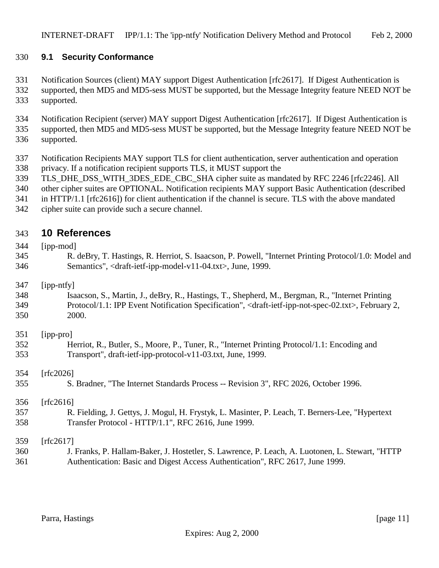#### <span id="page-10-0"></span>**9.1 Security Conformance**

 Notification Sources (client) MAY support Digest Authentication [rfc2617]. If Digest Authentication is supported, then MD5 and MD5-sess MUST be supported, but the Message Integrity feature NEED NOT be supported.

 Notification Recipient (server) MAY support Digest Authentication [rfc2617]. If Digest Authentication is supported, then MD5 and MD5-sess MUST be supported, but the Message Integrity feature NEED NOT be supported.

- Notification Recipients MAY support TLS for client authentication, server authentication and operation privacy. If a notification recipient supports TLS, it MUST support the
- 
- 339 TLS DHE DSS WITH 3DES EDE CBC SHA cipher suite as mandated by RFC 2246 [rfc2246]. All
- other cipher suites are OPTIONAL. Notification recipients MAY support Basic Authentication (described
- in HTTP/1.1 [rfc2616]) for client authentication if the channel is secure. TLS with the above mandated
- cipher suite can provide such a secure channel.

# **10 References**

- [ipp-mod] R. deBry, T. Hastings, R. Herriot, S. Isaacson, P. Powell, "Internet Printing Protocol/1.0: Model and Semantics", <draft-ietf-ipp-model-v11-04.txt>, June, 1999. [ipp-ntfy] Isaacson, S., Martin, J., deBry, R., Hastings, T., Shepherd, M., Bergman, R., "Internet Printing Protocol/1.1: IPP Event Notification Specification", <draft-ietf-ipp-not-spec-02.txt>, February 2, 2000. [ipp-pro] Herriot, R., Butler, S., Moore, P., Tuner, R., "Internet Printing Protocol/1.1: Encoding and Transport", draft-ietf-ipp-protocol-v11-03.txt, June, 1999. [rfc2026] S. Bradner, "The Internet Standards Process -- Revision 3", RFC 2026, October 1996. [rfc2616] R. Fielding, J. Gettys, J. Mogul, H. Frystyk, L. Masinter, P. Leach, T. Berners-Lee, "Hypertext Transfer Protocol - HTTP/1.1", RFC 2616, June 1999. [rfc2617] J. Franks, P. Hallam-Baker, J. Hostetler, S. Lawrence, P. Leach, A. Luotonen, L. Stewart, "HTTP
- Authentication: Basic and Digest Access Authentication", RFC 2617, June 1999.